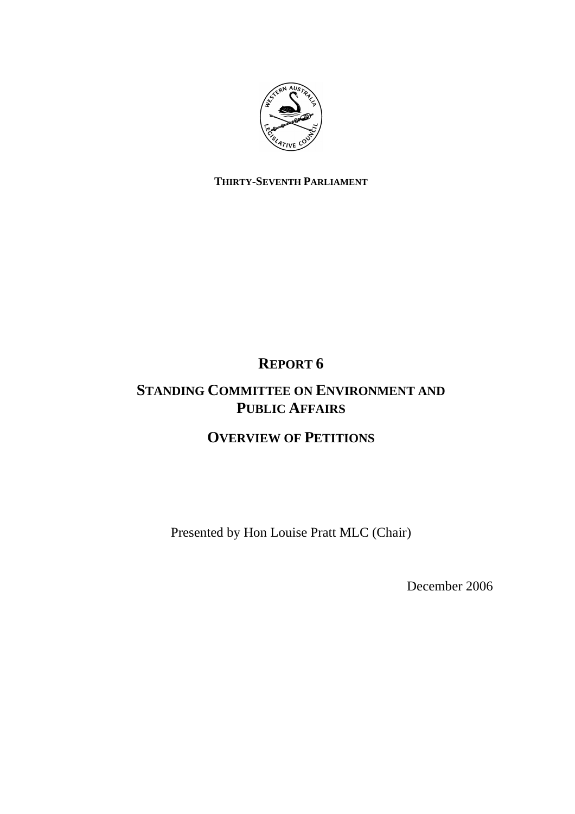

## **THIRTY-SEVENTH PARLIAMENT**

# **REPORT 6**

# **STANDING COMMITTEE ON ENVIRONMENT AND PUBLIC AFFAIRS**

# **OVERVIEW OF PETITIONS**

Presented by Hon Louise Pratt MLC (Chair)

December 2006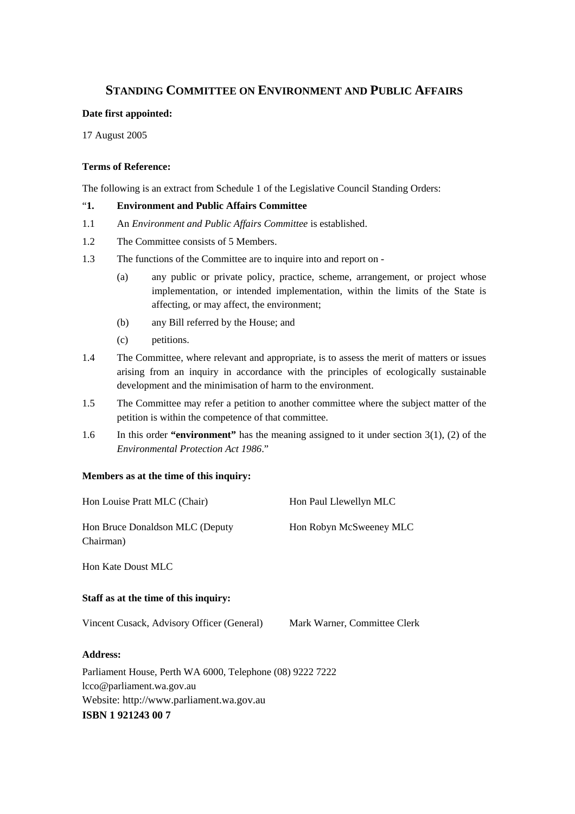## **STANDING COMMITTEE ON ENVIRONMENT AND PUBLIC AFFAIRS**

### **Date first appointed:**

17 August 2005

## **Terms of Reference:**

The following is an extract from Schedule 1 of the Legislative Council Standing Orders:

## "**1. Environment and Public Affairs Committee**

- 1.1 An *Environment and Public Affairs Committee* is established.
- 1.2 The Committee consists of 5 Members.
- 1.3 The functions of the Committee are to inquire into and report on
	- (a) any public or private policy, practice, scheme, arrangement, or project whose implementation, or intended implementation, within the limits of the State is affecting, or may affect, the environment;
	- (b) any Bill referred by the House; and
	- (c) petitions.
- 1.4 The Committee, where relevant and appropriate, is to assess the merit of matters or issues arising from an inquiry in accordance with the principles of ecologically sustainable development and the minimisation of harm to the environment.
- 1.5 The Committee may refer a petition to another committee where the subject matter of the petition is within the competence of that committee.
- 1.6 In this order **"environment"** has the meaning assigned to it under section 3(1), (2) of the *Environmental Protection Act 1986*."

### **Members as at the time of this inquiry:**

| Hon Louise Pratt MLC (Chair)                 | Hon Paul Llewellyn MLC  |
|----------------------------------------------|-------------------------|
| Hon Bruce Donaldson MLC (Deputy<br>Chairman) | Hon Robyn McSweeney MLC |
| Hon Kate Doust MLC                           |                         |
| Staff as at the time of this inquiry:        |                         |

Vincent Cusack, Advisory Officer (General) Mark Warner, Committee Clerk

## **Address:**

Parliament House, Perth WA 6000, Telephone (08) 9222 7222 lcco@parliament.wa.gov.au Website: http://www.parliament.wa.gov.au **ISBN 1 921243 00 7**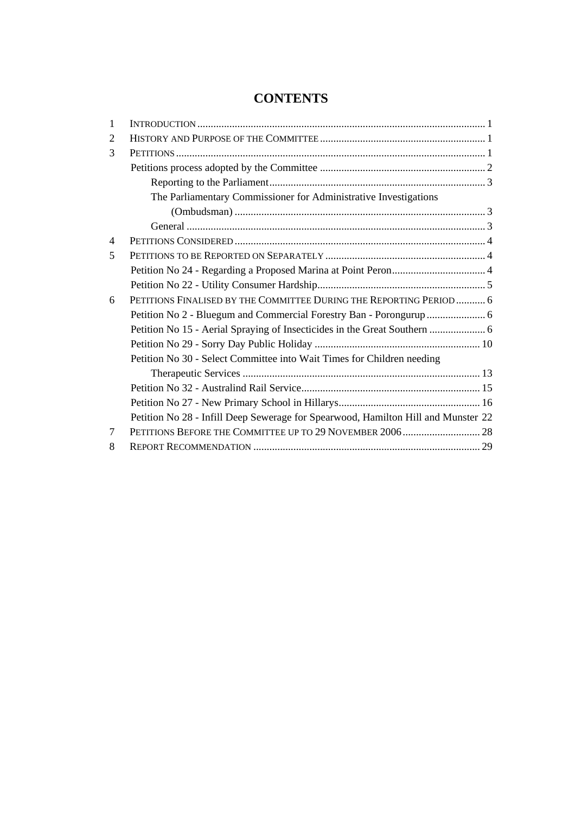## **CONTENTS**

| 1              |                                                                                   |
|----------------|-----------------------------------------------------------------------------------|
| 2              |                                                                                   |
| 3              |                                                                                   |
|                |                                                                                   |
|                |                                                                                   |
|                | The Parliamentary Commissioner for Administrative Investigations                  |
|                |                                                                                   |
|                |                                                                                   |
| $\overline{4}$ |                                                                                   |
| 5              |                                                                                   |
|                |                                                                                   |
|                |                                                                                   |
| 6              | PETITIONS FINALISED BY THE COMMITTEE DURING THE REPORTING PERIOD  6               |
|                |                                                                                   |
|                |                                                                                   |
|                |                                                                                   |
|                | Petition No 30 - Select Committee into Wait Times for Children needing            |
|                |                                                                                   |
|                |                                                                                   |
|                |                                                                                   |
|                | Petition No 28 - Infill Deep Sewerage for Spearwood, Hamilton Hill and Munster 22 |
| 7              | PETITIONS BEFORE THE COMMITTEE UP TO 29 NOVEMBER 2006 28                          |
| 8              |                                                                                   |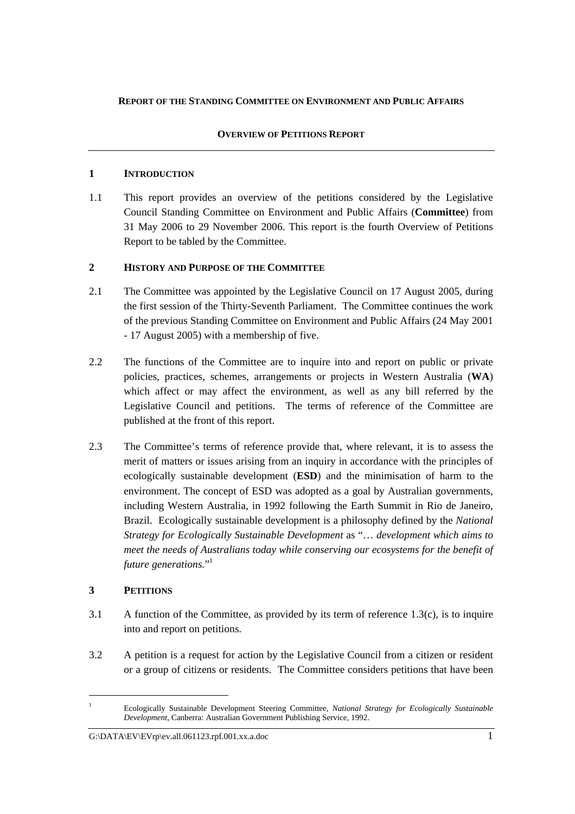## **REPORT OF THE STANDING COMMITTEE ON ENVIRONMENT AND PUBLIC AFFAIRS**

## **OVERVIEW OF PETITIONS REPORT**

## **1 INTRODUCTION**

1.1 This report provides an overview of the petitions considered by the Legislative Council Standing Committee on Environment and Public Affairs (**Committee**) from 31 May 2006 to 29 November 2006. This report is the fourth Overview of Petitions Report to be tabled by the Committee.

## **2 HISTORY AND PURPOSE OF THE COMMITTEE**

- 2.1 The Committee was appointed by the Legislative Council on 17 August 2005, during the first session of the Thirty-Seventh Parliament. The Committee continues the work of the previous Standing Committee on Environment and Public Affairs (24 May 2001 - 17 August 2005) with a membership of five.
- 2.2 The functions of the Committee are to inquire into and report on public or private policies, practices, schemes, arrangements or projects in Western Australia (**WA**) which affect or may affect the environment, as well as any bill referred by the Legislative Council and petitions. The terms of reference of the Committee are published at the front of this report.
- 2.3 The Committee's terms of reference provide that, where relevant, it is to assess the merit of matters or issues arising from an inquiry in accordance with the principles of ecologically sustainable development (**ESD**) and the minimisation of harm to the environment. The concept of ESD was adopted as a goal by Australian governments, including Western Australia, in 1992 following the Earth Summit in Rio de Janeiro, Brazil. Ecologically sustainable development is a philosophy defined by the *National Strategy for Ecologically Sustainable Development* as "… *development which aims to meet the needs of Australians today while conserving our ecosystems for the benefit of future generations.*" 1

## **3 PETITIONS**

- 3.1 A function of the Committee, as provided by its term of reference 1.3(c), is to inquire into and report on petitions.
- 3.2 A petition is a request for action by the Legislative Council from a citizen or resident or a group of citizens or residents. The Committee considers petitions that have been

<sup>1</sup> Ecologically Sustainable Development Steering Committee, *National Strategy for Ecologically Sustainable Development*, Canberra: Australian Government Publishing Service, 1992.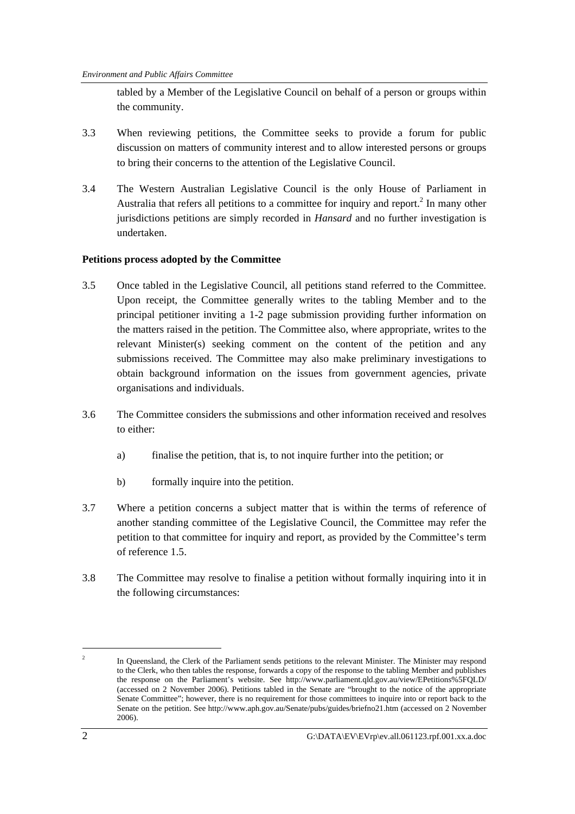tabled by a Member of the Legislative Council on behalf of a person or groups within the community.

- 3.3 When reviewing petitions, the Committee seeks to provide a forum for public discussion on matters of community interest and to allow interested persons or groups to bring their concerns to the attention of the Legislative Council.
- 3.4 The Western Australian Legislative Council is the only House of Parliament in Australia that refers all petitions to a committee for inquiry and report. $2$  In many other jurisdictions petitions are simply recorded in *Hansard* and no further investigation is undertaken.

## **Petitions process adopted by the Committee**

- 3.5 Once tabled in the Legislative Council, all petitions stand referred to the Committee. Upon receipt, the Committee generally writes to the tabling Member and to the principal petitioner inviting a 1-2 page submission providing further information on the matters raised in the petition. The Committee also, where appropriate, writes to the relevant Minister(s) seeking comment on the content of the petition and any submissions received. The Committee may also make preliminary investigations to obtain background information on the issues from government agencies, private organisations and individuals.
- 3.6 The Committee considers the submissions and other information received and resolves to either:
	- a) finalise the petition, that is, to not inquire further into the petition; or
	- b) formally inquire into the petition.
- 3.7 Where a petition concerns a subject matter that is within the terms of reference of another standing committee of the Legislative Council, the Committee may refer the petition to that committee for inquiry and report, as provided by the Committee's term of reference 1.5.
- 3.8 The Committee may resolve to finalise a petition without formally inquiring into it in the following circumstances:

 $\overline{2}$  In Queensland, the Clerk of the Parliament sends petitions to the relevant Minister. The Minister may respond to the Clerk, who then tables the response, forwards a copy of the response to the tabling Member and publishes the response on the Parliament's website. See http://www.parliament.qld.gov.au/view/EPetitions%5FQLD/ (accessed on 2 November 2006). Petitions tabled in the Senate are "brought to the notice of the appropriate Senate Committee"; however, there is no requirement for those committees to inquire into or report back to the Senate on the petition. See http://www.aph.gov.au/Senate/pubs/guides/briefno21.htm (accessed on 2 November 2006).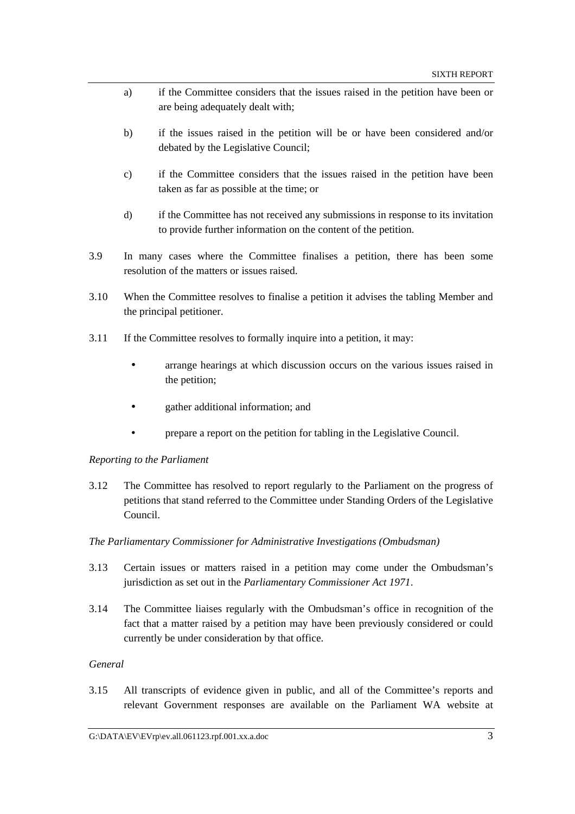- a) if the Committee considers that the issues raised in the petition have been or are being adequately dealt with;
- b) if the issues raised in the petition will be or have been considered and/or debated by the Legislative Council;
- c) if the Committee considers that the issues raised in the petition have been taken as far as possible at the time; or
- d) if the Committee has not received any submissions in response to its invitation to provide further information on the content of the petition.
- 3.9 In many cases where the Committee finalises a petition, there has been some resolution of the matters or issues raised.
- 3.10 When the Committee resolves to finalise a petition it advises the tabling Member and the principal petitioner.
- 3.11 If the Committee resolves to formally inquire into a petition, it may:
	- arrange hearings at which discussion occurs on the various issues raised in the petition;
	- gather additional information; and
	- prepare a report on the petition for tabling in the Legislative Council.

### *Reporting to the Parliament*

3.12 The Committee has resolved to report regularly to the Parliament on the progress of petitions that stand referred to the Committee under Standing Orders of the Legislative Council.

### *The Parliamentary Commissioner for Administrative Investigations (Ombudsman)*

- 3.13 Certain issues or matters raised in a petition may come under the Ombudsman's jurisdiction as set out in the *Parliamentary Commissioner Act 1971*.
- 3.14 The Committee liaises regularly with the Ombudsman's office in recognition of the fact that a matter raised by a petition may have been previously considered or could currently be under consideration by that office.

## *General*

3.15 All transcripts of evidence given in public, and all of the Committee's reports and relevant Government responses are available on the Parliament WA website at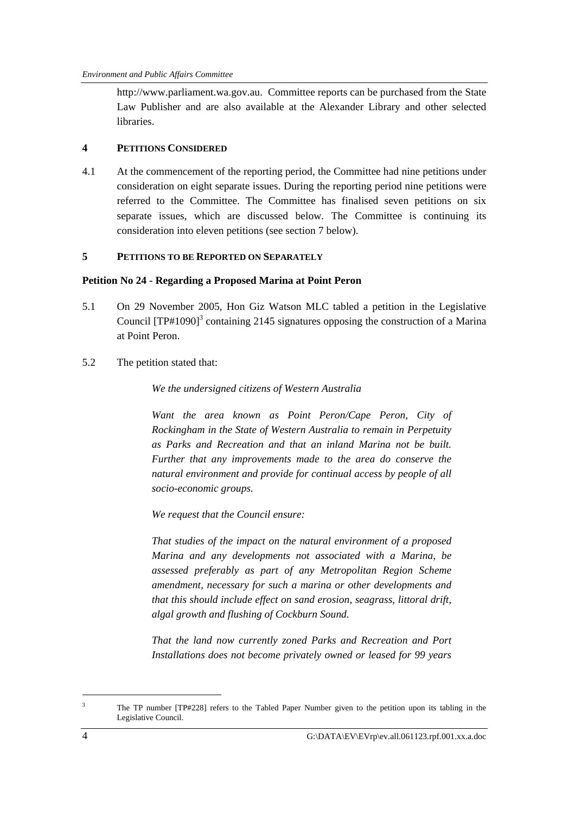http://www.parliament.wa.gov.au. Committee reports can be purchased from the State Law Publisher and are also available at the Alexander Library and other selected libraries.

## **4 PETITIONS CONSIDERED**

4.1 At the commencement of the reporting period, the Committee had nine petitions under consideration on eight separate issues. During the reporting period nine petitions were referred to the Committee. The Committee has finalised seven petitions on six separate issues, which are discussed below. The Committee is continuing its consideration into eleven petitions (see section 7 below).

## **5 PETITIONS TO BE REPORTED ON SEPARATELY**

## **Petition No 24 - Regarding a Proposed Marina at Point Peron**

- 5.1 On 29 November 2005, Hon Giz Watson MLC tabled a petition in the Legislative Council  ${[TP\#1090]}^3$  containing 2145 signatures opposing the construction of a Marina at Point Peron.
- 5.2 The petition stated that:

*We the undersigned citizens of Western Australia* 

*Want the area known as Point Peron/Cape Peron, City of Rockingham in the State of Western Australia to remain in Perpetuity as Parks and Recreation and that an inland Marina not be built. Further that any improvements made to the area do conserve the natural environment and provide for continual access by people of all socio-economic groups.* 

*We request that the Council ensure:* 

*That studies of the impact on the natural environment of a proposed Marina and any developments not associated with a Marina, be assessed preferably as part of any Metropolitan Region Scheme amendment, necessary for such a marina or other developments and that this should include effect on sand erosion, seagrass, littoral drift, algal growth and flushing of Cockburn Sound.* 

*That the land now currently zoned Parks and Recreation and Port Installations does not become privately owned or leased for 99 years* 

<sup>3</sup> The TP number [TP#228] refers to the Tabled Paper Number given to the petition upon its tabling in the Legislative Council.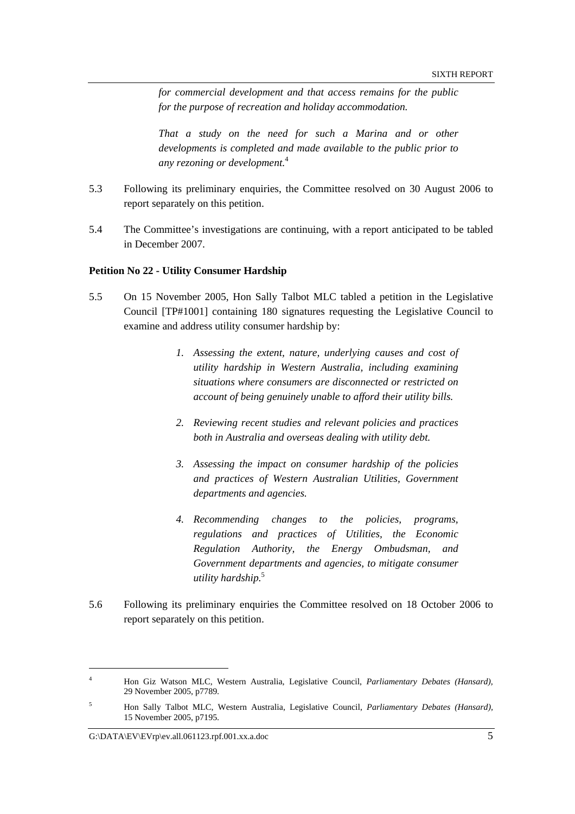*for commercial development and that access remains for the public for the purpose of recreation and holiday accommodation.* 

*That a study on the need for such a Marina and or other developments is completed and made available to the public prior to any rezoning or development.*<sup>4</sup> 

- 5.3 Following its preliminary enquiries, the Committee resolved on 30 August 2006 to report separately on this petition.
- 5.4 The Committee's investigations are continuing, with a report anticipated to be tabled in December 2007.

### **Petition No 22 - Utility Consumer Hardship**

- 5.5 On 15 November 2005, Hon Sally Talbot MLC tabled a petition in the Legislative Council [TP#1001] containing 180 signatures requesting the Legislative Council to examine and address utility consumer hardship by:
	- *1. Assessing the extent, nature, underlying causes and cost of utility hardship in Western Australia, including examining situations where consumers are disconnected or restricted on account of being genuinely unable to afford their utility bills.*
	- *2. Reviewing recent studies and relevant policies and practices both in Australia and overseas dealing with utility debt.*
	- *3. Assessing the impact on consumer hardship of the policies and practices of Western Australian Utilities, Government departments and agencies.*
	- *4. Recommending changes to the policies, programs, regulations and practices of Utilities, the Economic Regulation Authority, the Energy Ombudsman, and Government departments and agencies, to mitigate consumer utility hardship.*<sup>5</sup>
- 5.6 Following its preliminary enquiries the Committee resolved on 18 October 2006 to report separately on this petition.

<sup>4</sup> Hon Giz Watson MLC, Western Australia, Legislative Council, *Parliamentary Debates (Hansard),*  29 November 2005, p7789.

<sup>5</sup> Hon Sally Talbot MLC, Western Australia, Legislative Council, *Parliamentary Debates (Hansard),*  15 November 2005, p7195.

G: $\Delta$ DATA\EV\EVrp\ev.all.061123.rpf.001.xx.a.doc 5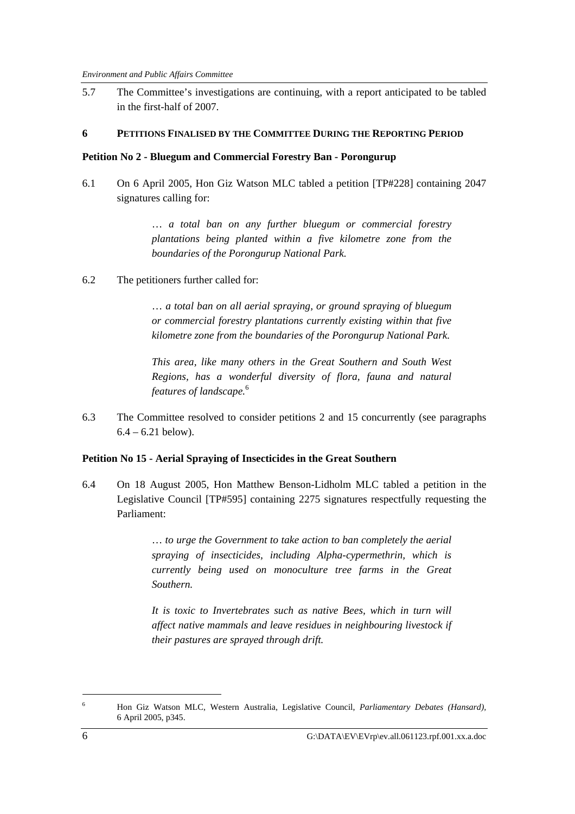5.7 The Committee's investigations are continuing, with a report anticipated to be tabled in the first-half of 2007.

#### **6 PETITIONS FINALISED BY THE COMMITTEE DURING THE REPORTING PERIOD**

#### **Petition No 2 - Bluegum and Commercial Forestry Ban - Porongurup**

6.1 On 6 April 2005, Hon Giz Watson MLC tabled a petition [TP#228] containing 2047 signatures calling for:

> … *a total ban on any further bluegum or commercial forestry plantations being planted within a five kilometre zone from the boundaries of the Porongurup National Park.*

6.2 The petitioners further called for:

… *a total ban on all aerial spraying, or ground spraying of bluegum or commercial forestry plantations currently existing within that five kilometre zone from the boundaries of the Porongurup National Park.* 

*This area, like many others in the Great Southern and South West Regions, has a wonderful diversity of flora, fauna and natural features of landscape.*<sup>6</sup>

6.3 The Committee resolved to consider petitions 2 and 15 concurrently (see paragraphs  $6.4 - 6.21$  below).

#### **Petition No 15 - Aerial Spraying of Insecticides in the Great Southern**

6.4 On 18 August 2005, Hon Matthew Benson-Lidholm MLC tabled a petition in the Legislative Council [TP#595] containing 2275 signatures respectfully requesting the Parliament:

> … *to urge the Government to take action to ban completely the aerial spraying of insecticides, including Alpha-cypermethrin, which is currently being used on monoculture tree farms in the Great Southern.*

> *It is toxic to Invertebrates such as native Bees, which in turn will affect native mammals and leave residues in neighbouring livestock if their pastures are sprayed through drift.*

<sup>6</sup> Hon Giz Watson MLC, Western Australia, Legislative Council, *Parliamentary Debates (Hansard),*  6 April 2005, p345.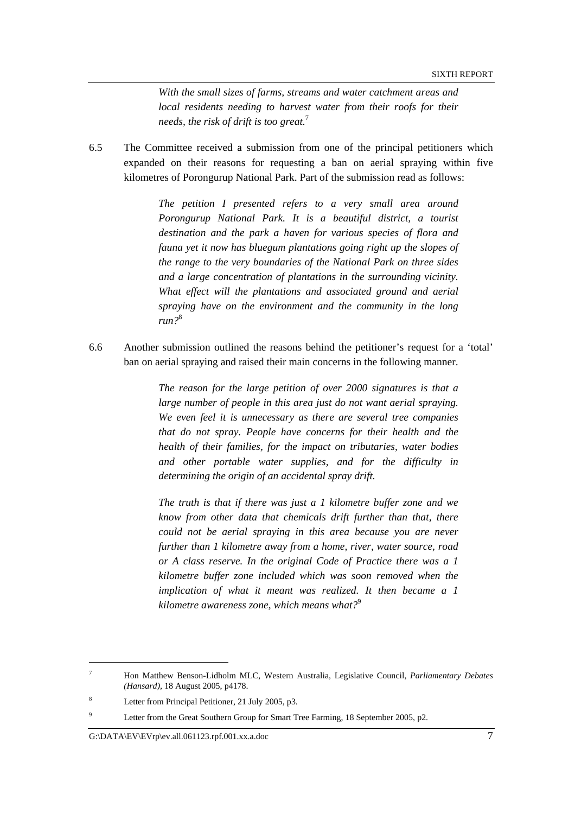*With the small sizes of farms, streams and water catchment areas and local residents needing to harvest water from their roofs for their needs, the risk of drift is too great.*<sup>7</sup>

6.5 The Committee received a submission from one of the principal petitioners which expanded on their reasons for requesting a ban on aerial spraying within five kilometres of Porongurup National Park. Part of the submission read as follows:

> *The petition I presented refers to a very small area around Porongurup National Park. It is a beautiful district, a tourist destination and the park a haven for various species of flora and fauna yet it now has bluegum plantations going right up the slopes of the range to the very boundaries of the National Park on three sides and a large concentration of plantations in the surrounding vicinity. What effect will the plantations and associated ground and aerial spraying have on the environment and the community in the long run?*<sup>8</sup>

6.6 Another submission outlined the reasons behind the petitioner's request for a 'total' ban on aerial spraying and raised their main concerns in the following manner.

> *The reason for the large petition of over 2000 signatures is that a large number of people in this area just do not want aerial spraying. We even feel it is unnecessary as there are several tree companies that do not spray. People have concerns for their health and the health of their families, for the impact on tributaries, water bodies and other portable water supplies, and for the difficulty in determining the origin of an accidental spray drift.*

> *The truth is that if there was just a 1 kilometre buffer zone and we know from other data that chemicals drift further than that, there could not be aerial spraying in this area because you are never further than 1 kilometre away from a home, river, water source, road or A class reserve. In the original Code of Practice there was a 1 kilometre buffer zone included which was soon removed when the implication of what it meant was realized. It then became a 1 kilometre awareness zone, which means what?*<sup>9</sup>

<sup>7</sup> Hon Matthew Benson-Lidholm MLC, Western Australia, Legislative Council, *Parliamentary Debates (Hansard),* 18 August 2005, p4178.

<sup>8</sup> Letter from Principal Petitioner, 21 July 2005, p3.

<sup>9</sup> Letter from the Great Southern Group for Smart Tree Farming, 18 September 2005, p2.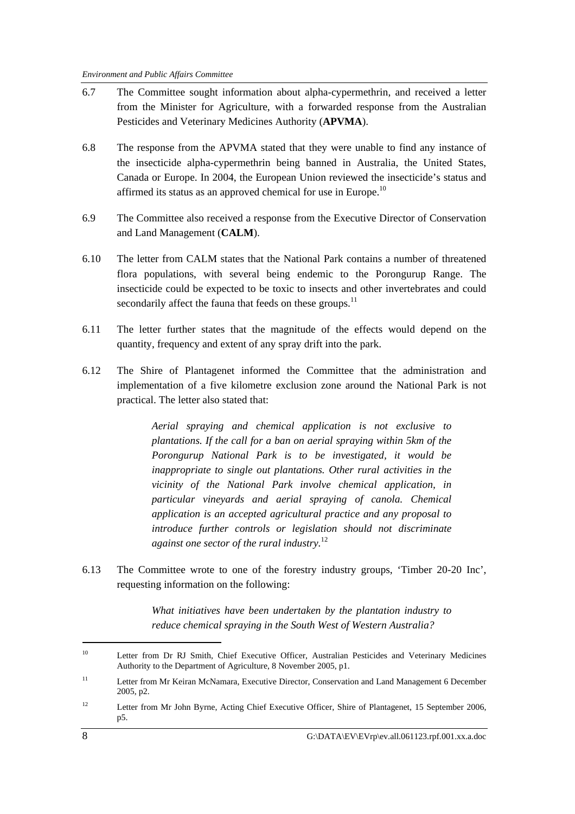- 6.7 The Committee sought information about alpha-cypermethrin, and received a letter from the Minister for Agriculture, with a forwarded response from the Australian Pesticides and Veterinary Medicines Authority (**APVMA**).
- 6.8 The response from the APVMA stated that they were unable to find any instance of the insecticide alpha-cypermethrin being banned in Australia, the United States, Canada or Europe. In 2004, the European Union reviewed the insecticide's status and affirmed its status as an approved chemical for use in Europe.<sup>10</sup>
- 6.9 The Committee also received a response from the Executive Director of Conservation and Land Management (**CALM**).
- 6.10 The letter from CALM states that the National Park contains a number of threatened flora populations, with several being endemic to the Porongurup Range. The insecticide could be expected to be toxic to insects and other invertebrates and could secondarily affect the fauna that feeds on these groups.<sup>11</sup>
- 6.11 The letter further states that the magnitude of the effects would depend on the quantity, frequency and extent of any spray drift into the park.
- 6.12 The Shire of Plantagenet informed the Committee that the administration and implementation of a five kilometre exclusion zone around the National Park is not practical. The letter also stated that:

*Aerial spraying and chemical application is not exclusive to plantations. If the call for a ban on aerial spraying within 5km of the Porongurup National Park is to be investigated, it would be inappropriate to single out plantations. Other rural activities in the vicinity of the National Park involve chemical application, in particular vineyards and aerial spraying of canola. Chemical application is an accepted agricultural practice and any proposal to introduce further controls or legislation should not discriminate against one sector of the rural industry.*<sup>12</sup> 

6.13 The Committee wrote to one of the forestry industry groups, 'Timber 20-20 Inc', requesting information on the following:

> *What initiatives have been undertaken by the plantation industry to reduce chemical spraying in the South West of Western Australia?*

<sup>&</sup>lt;sup>10</sup> Letter from Dr RJ Smith, Chief Executive Officer, Australian Pesticides and Veterinary Medicines Authority to the Department of Agriculture, 8 November 2005, p1.

<sup>&</sup>lt;sup>11</sup> Letter from Mr Keiran McNamara, Executive Director, Conservation and Land Management 6 December 2005, p2.

<sup>&</sup>lt;sup>12</sup> Letter from Mr John Byrne, Acting Chief Executive Officer, Shire of Plantagenet, 15 September 2006, p5.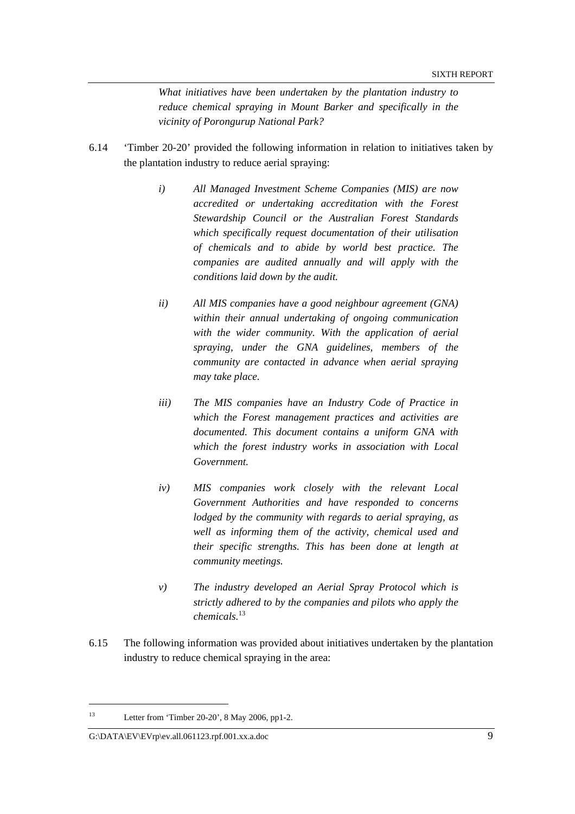*What initiatives have been undertaken by the plantation industry to reduce chemical spraying in Mount Barker and specifically in the vicinity of Porongurup National Park?* 

- 6.14 'Timber 20-20' provided the following information in relation to initiatives taken by the plantation industry to reduce aerial spraying:
	- *i) All Managed Investment Scheme Companies (MIS) are now accredited or undertaking accreditation with the Forest Stewardship Council or the Australian Forest Standards which specifically request documentation of their utilisation of chemicals and to abide by world best practice. The companies are audited annually and will apply with the conditions laid down by the audit.*
	- *ii) All MIS companies have a good neighbour agreement (GNA) within their annual undertaking of ongoing communication with the wider community. With the application of aerial spraying, under the GNA guidelines, members of the community are contacted in advance when aerial spraying may take place.*
	- *iii) The MIS companies have an Industry Code of Practice in which the Forest management practices and activities are documented. This document contains a uniform GNA with which the forest industry works in association with Local Government.*
	- *iv) MIS companies work closely with the relevant Local Government Authorities and have responded to concerns lodged by the community with regards to aerial spraying, as well as informing them of the activity, chemical used and their specific strengths. This has been done at length at community meetings.*
	- *v) The industry developed an Aerial Spray Protocol which is strictly adhered to by the companies and pilots who apply the chemicals.*<sup>13</sup>
- 6.15 The following information was provided about initiatives undertaken by the plantation industry to reduce chemical spraying in the area:

<sup>&</sup>lt;sup>13</sup> Letter from 'Timber 20-20', 8 May 2006, pp1-2.

G:\DATA\EV\EVrp\ev.all.061123.rpf.001.xx.a.doc 9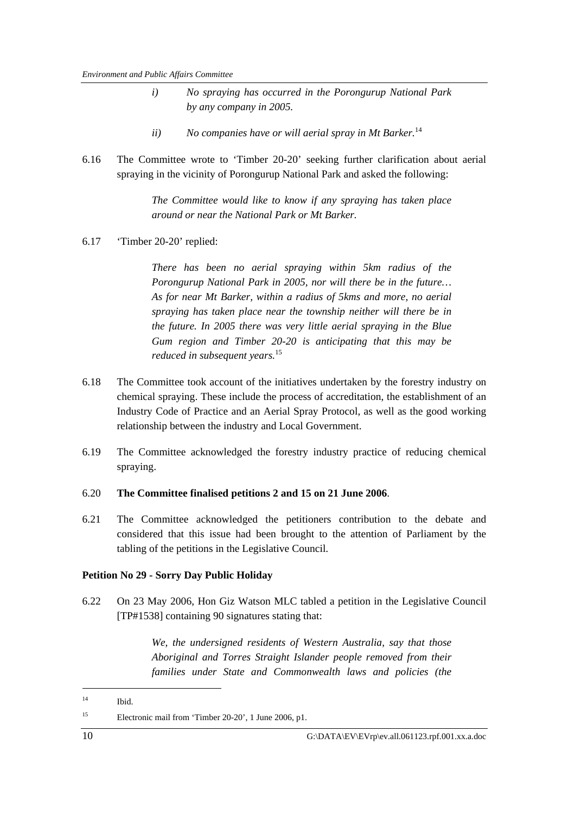- *i) No spraying has occurred in the Porongurup National Park by any company in 2005.*
- ii) No companies have or will aerial spray in Mt Barker.<sup>14</sup>
- 6.16 The Committee wrote to 'Timber 20-20' seeking further clarification about aerial spraying in the vicinity of Porongurup National Park and asked the following:

*The Committee would like to know if any spraying has taken place around or near the National Park or Mt Barker.*

6.17 'Timber 20-20' replied:

*There has been no aerial spraying within 5km radius of the Porongurup National Park in 2005, nor will there be in the future… As for near Mt Barker, within a radius of 5kms and more, no aerial spraying has taken place near the township neither will there be in the future. In 2005 there was very little aerial spraying in the Blue Gum region and Timber 20-20 is anticipating that this may be reduced in subsequent years.*<sup>15</sup> 

- 6.18 The Committee took account of the initiatives undertaken by the forestry industry on chemical spraying. These include the process of accreditation, the establishment of an Industry Code of Practice and an Aerial Spray Protocol, as well as the good working relationship between the industry and Local Government.
- 6.19 The Committee acknowledged the forestry industry practice of reducing chemical spraying.
- 6.20 **The Committee finalised petitions 2 and 15 on 21 June 2006**.
- 6.21 The Committee acknowledged the petitioners contribution to the debate and considered that this issue had been brought to the attention of Parliament by the tabling of the petitions in the Legislative Council.

#### **Petition No 29 - Sorry Day Public Holiday**

6.22 On 23 May 2006, Hon Giz Watson MLC tabled a petition in the Legislative Council [TP#1538] containing 90 signatures stating that:

> *We, the undersigned residents of Western Australia, say that those Aboriginal and Torres Straight Islander people removed from their families under State and Commonwealth laws and policies (the*

<sup>14</sup> Ibid.

<sup>15</sup> Electronic mail from 'Timber 20-20', 1 June 2006, p1.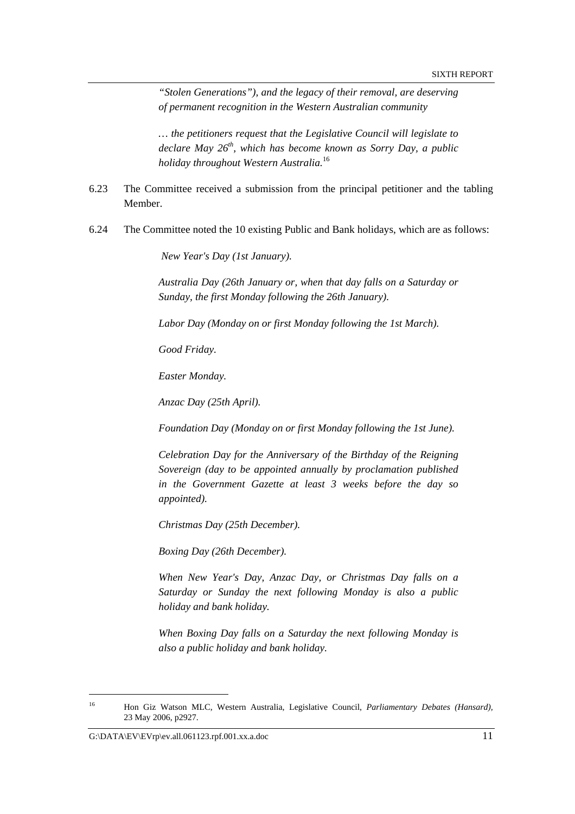*"Stolen Generations"), and the legacy of their removal, are deserving of permanent recognition in the Western Australian community* 

*… the petitioners request that the Legislative Council will legislate to declare May 26th, which has become known as Sorry Day, a public holiday throughout Western Australia.*<sup>16</sup>

- 6.23 The Committee received a submission from the principal petitioner and the tabling Member.
- 6.24 The Committee noted the 10 existing Public and Bank holidays, which are as follows:

 *New Year's Day (1st January).* 

*Australia Day (26th January or, when that day falls on a Saturday or Sunday, the first Monday following the 26th January).* 

*Labor Day (Monday on or first Monday following the 1st March).* 

*Good Friday.* 

*Easter Monday.* 

*Anzac Day (25th April).* 

*Foundation Day (Monday on or first Monday following the 1st June).* 

*Celebration Day for the Anniversary of the Birthday of the Reigning Sovereign (day to be appointed annually by proclamation published in the Government Gazette at least 3 weeks before the day so appointed).* 

*Christmas Day (25th December).* 

*Boxing Day (26th December).* 

*When New Year's Day, Anzac Day, or Christmas Day falls on a Saturday or Sunday the next following Monday is also a public holiday and bank holiday.* 

*When Boxing Day falls on a Saturday the next following Monday is also a public holiday and bank holiday.* 

<sup>16</sup> Hon Giz Watson MLC, Western Australia, Legislative Council, *Parliamentary Debates (Hansard),*  23 May 2006, p2927.

G:\DATA\EV\EVrp\ev.all.061123.rpf.001.xx.a.doc 11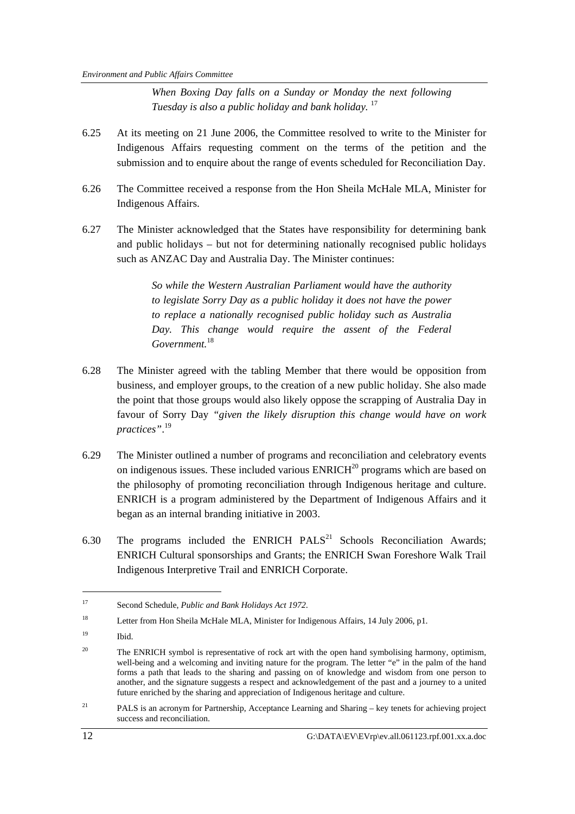*When Boxing Day falls on a Sunday or Monday the next following Tuesday is also a public holiday and bank holiday.* <sup>17</sup>

- 6.25 At its meeting on 21 June 2006, the Committee resolved to write to the Minister for Indigenous Affairs requesting comment on the terms of the petition and the submission and to enquire about the range of events scheduled for Reconciliation Day.
- 6.26 The Committee received a response from the Hon Sheila McHale MLA, Minister for Indigenous Affairs.
- 6.27 The Minister acknowledged that the States have responsibility for determining bank and public holidays – but not for determining nationally recognised public holidays such as ANZAC Day and Australia Day. The Minister continues:

*So while the Western Australian Parliament would have the authority to legislate Sorry Day as a public holiday it does not have the power to replace a nationally recognised public holiday such as Australia Day. This change would require the assent of the Federal*  Government.<sup>18</sup>

- 6.28 The Minister agreed with the tabling Member that there would be opposition from business, and employer groups, to the creation of a new public holiday. She also made the point that those groups would also likely oppose the scrapping of Australia Day in favour of Sorry Day *"given the likely disruption this change would have on work practices"*. 19
- 6.29 The Minister outlined a number of programs and reconciliation and celebratory events on indigenous issues. These included various  $ENRICH^{20}$  programs which are based on the philosophy of promoting reconciliation through Indigenous heritage and culture. ENRICH is a program administered by the Department of Indigenous Affairs and it began as an internal branding initiative in 2003.
- 6.30 The programs included the ENRICH PALS<sup>21</sup> Schools Reconciliation Awards; ENRICH Cultural sponsorships and Grants; the ENRICH Swan Foreshore Walk Trail Indigenous Interpretive Trail and ENRICH Corporate.

<sup>17</sup> Second Schedule, *Public and Bank Holidays Act 1972*.

<sup>&</sup>lt;sup>18</sup> Letter from Hon Sheila McHale MLA, Minister for Indigenous Affairs, 14 July 2006, p1.

 $^{19}$  Ibid.

<sup>&</sup>lt;sup>20</sup> The ENRICH symbol is representative of rock art with the open hand symbolising harmony, optimism, well-being and a welcoming and inviting nature for the program. The letter "e" in the palm of the hand forms a path that leads to the sharing and passing on of knowledge and wisdom from one person to another, and the signature suggests a respect and acknowledgement of the past and a journey to a united future enriched by the sharing and appreciation of Indigenous heritage and culture.

<sup>&</sup>lt;sup>21</sup> PALS is an acronym for Partnership, Acceptance Learning and Sharing – key tenets for achieving project success and reconciliation.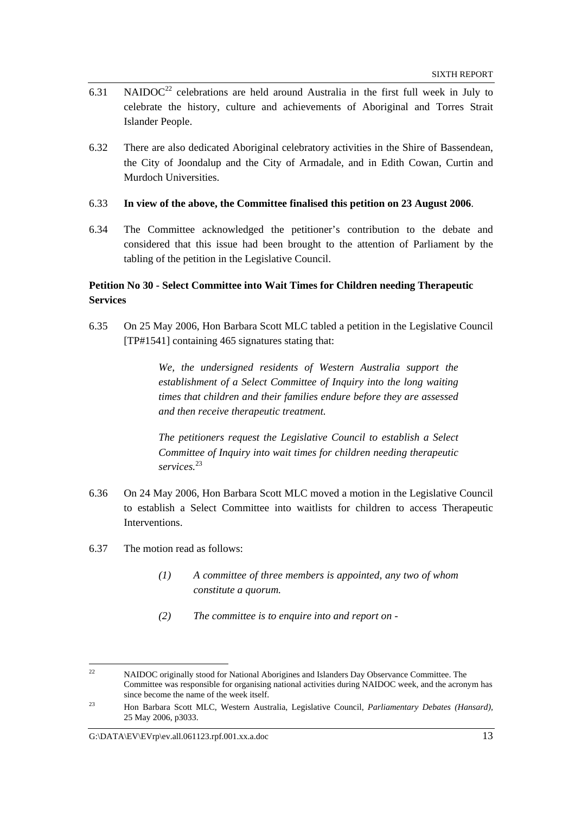- 6.31 NAIDOC<sup>22</sup> celebrations are held around Australia in the first full week in July to celebrate the history, culture and achievements of Aboriginal and Torres Strait Islander People.
- 6.32 There are also dedicated Aboriginal celebratory activities in the Shire of Bassendean, the City of Joondalup and the City of Armadale, and in Edith Cowan, Curtin and Murdoch Universities.

#### 6.33 **In view of the above, the Committee finalised this petition on 23 August 2006**.

6.34 The Committee acknowledged the petitioner's contribution to the debate and considered that this issue had been brought to the attention of Parliament by the tabling of the petition in the Legislative Council.

## **Petition No 30 - Select Committee into Wait Times for Children needing Therapeutic Services**

6.35 On 25 May 2006, Hon Barbara Scott MLC tabled a petition in the Legislative Council [TP#1541] containing 465 signatures stating that:

> *We, the undersigned residents of Western Australia support the establishment of a Select Committee of Inquiry into the long waiting times that children and their families endure before they are assessed and then receive therapeutic treatment.*

> *The petitioners request the Legislative Council to establish a Select Committee of Inquiry into wait times for children needing therapeutic services.*<sup>23</sup>

- 6.36 On 24 May 2006, Hon Barbara Scott MLC moved a motion in the Legislative Council to establish a Select Committee into waitlists for children to access Therapeutic Interventions.
- 6.37 The motion read as follows:
	- *(1) A committee of three members is appointed, any two of whom constitute a quorum.*
	- *(2) The committee is to enquire into and report on*

<sup>&</sup>lt;sup>22</sup> NAIDOC originally stood for National Aborigines and Islanders Day Observance Committee. The Committee was responsible for organising national activities during NAIDOC week, and the acronym has since become the name of the week itself.

<sup>23</sup> Hon Barbara Scott MLC, Western Australia, Legislative Council, *Parliamentary Debates (Hansard),*  25 May 2006, p3033.

G: $\Delta$ EV\EVrp\ev.all.061123.rpf.001.xx.a.doc 13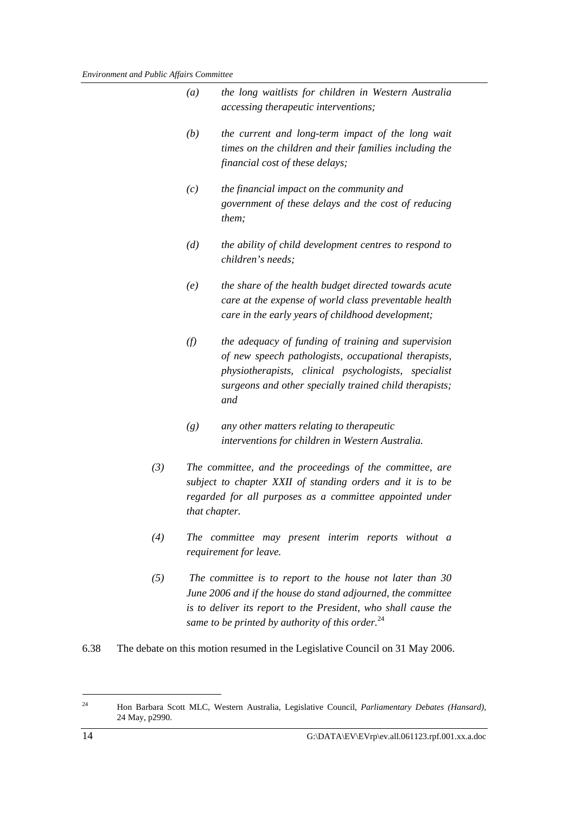| (a) | the long waitlists for children in Western Australia<br><i>accessing therapeutic interventions;</i>                                                                                                                                  |
|-----|--------------------------------------------------------------------------------------------------------------------------------------------------------------------------------------------------------------------------------------|
| (b) | the current and long-term impact of the long wait<br>times on the children and their families including the<br>financial cost of these delays;                                                                                       |
| (c) | the financial impact on the community and<br>government of these delays and the cost of reducing<br>them;                                                                                                                            |
| (d) | the ability of child development centres to respond to<br>children's needs;                                                                                                                                                          |
| (e) | the share of the health budget directed towards acute<br>care at the expense of world class preventable health<br>care in the early years of childhood development;                                                                  |
| (f) | the adequacy of funding of training and supervision<br>of new speech pathologists, occupational therapists,<br>physiotherapists, clinical psychologists, specialist<br>surgeons and other specially trained child therapists;<br>and |
| (g) | any other matters relating to therapeutic                                                                                                                                                                                            |

*(3) The committee, and the proceedings of the committee, are subject to chapter XXII of standing orders and it is to be regarded for all purposes as a committee appointed under* 

 *interventions for children in Western Australia.* 

- *(4) The committee may present interim reports without a requirement for leave.*
- *(5) The committee is to report to the house not later than 30 June 2006 and if the house do stand adjourned, the committee is to deliver its report to the President, who shall cause the same to be printed by authority of this order.*<sup>24</sup>
- 6.38 The debate on this motion resumed in the Legislative Council on 31 May 2006.

 *that chapter.* 

<sup>24</sup> Hon Barbara Scott MLC, Western Australia, Legislative Council, *Parliamentary Debates (Hansard),*  24 May, p2990.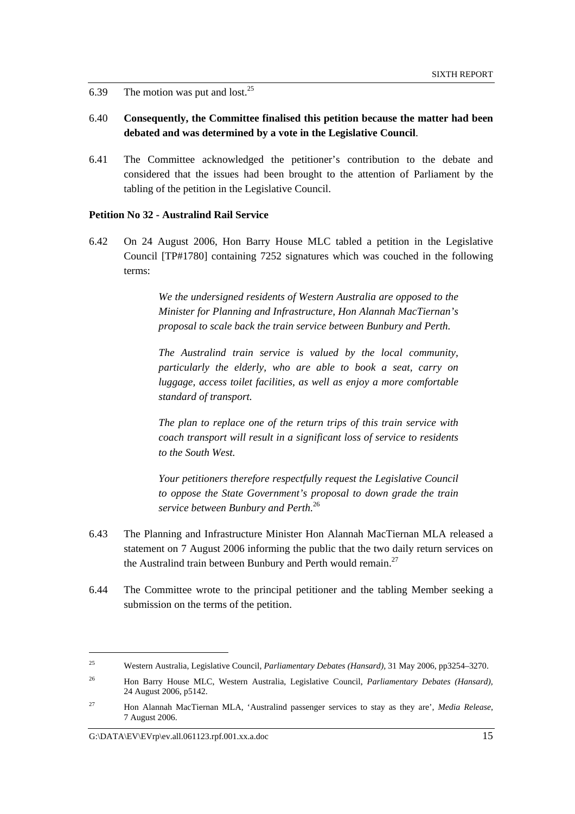6.39 The motion was put and lost. $25$ 

- 6.40 **Consequently, the Committee finalised this petition because the matter had been debated and was determined by a vote in the Legislative Council**.
- 6.41 The Committee acknowledged the petitioner's contribution to the debate and considered that the issues had been brought to the attention of Parliament by the tabling of the petition in the Legislative Council.

#### **Petition No 32 - Australind Rail Service**

6.42 On 24 August 2006, Hon Barry House MLC tabled a petition in the Legislative Council [TP#1780] containing 7252 signatures which was couched in the following terms:

> *We the undersigned residents of Western Australia are opposed to the Minister for Planning and Infrastructure, Hon Alannah MacTiernan's proposal to scale back the train service between Bunbury and Perth.*

> *The Australind train service is valued by the local community, particularly the elderly, who are able to book a seat, carry on luggage, access toilet facilities, as well as enjoy a more comfortable standard of transport.*

> *The plan to replace one of the return trips of this train service with coach transport will result in a significant loss of service to residents to the South West.*

> *Your petitioners therefore respectfully request the Legislative Council to oppose the State Government's proposal to down grade the train service between Bunbury and Perth.*<sup>26</sup>

- 6.43 The Planning and Infrastructure Minister Hon Alannah MacTiernan MLA released a statement on 7 August 2006 informing the public that the two daily return services on the Australind train between Bunbury and Perth would remain. $27$
- 6.44 The Committee wrote to the principal petitioner and the tabling Member seeking a submission on the terms of the petition.

<sup>25</sup> Western Australia, Legislative Council, *Parliamentary Debates (Hansard),* 31 May 2006, pp3254–3270.

<sup>26</sup> Hon Barry House MLC, Western Australia, Legislative Council, *Parliamentary Debates (Hansard),*  24 August 2006, p5142.

<sup>27</sup> Hon Alannah MacTiernan MLA, 'Australind passenger services to stay as they are', *Media Release*, 7 August 2006.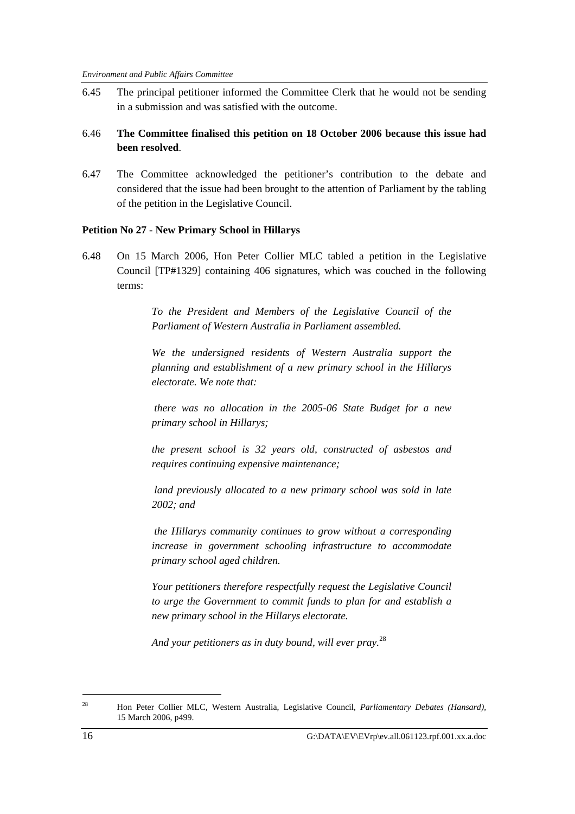6.45 The principal petitioner informed the Committee Clerk that he would not be sending in a submission and was satisfied with the outcome.

## 6.46 **The Committee finalised this petition on 18 October 2006 because this issue had been resolved**.

6.47 The Committee acknowledged the petitioner's contribution to the debate and considered that the issue had been brought to the attention of Parliament by the tabling of the petition in the Legislative Council.

#### **Petition No 27 - New Primary School in Hillarys**

6.48 On 15 March 2006, Hon Peter Collier MLC tabled a petition in the Legislative Council [TP#1329] containing 406 signatures, which was couched in the following terms:

> *To the President and Members of the Legislative Council of the Parliament of Western Australia in Parliament assembled.*

> *We the undersigned residents of Western Australia support the planning and establishment of a new primary school in the Hillarys electorate. We note that:*

> *there was no allocation in the 2005-06 State Budget for a new primary school in Hillarys;*

> *the present school is 32 years old, constructed of asbestos and requires continuing expensive maintenance;*

> *land previously allocated to a new primary school was sold in late 2002; and*

> *the Hillarys community continues to grow without a corresponding increase in government schooling infrastructure to accommodate primary school aged children.*

> *Your petitioners therefore respectfully request the Legislative Council to urge the Government to commit funds to plan for and establish a new primary school in the Hillarys electorate.*

*And your petitioners as in duty bound, will ever pray.* 28

<sup>28</sup> Hon Peter Collier MLC, Western Australia, Legislative Council, *Parliamentary Debates (Hansard),*  15 March 2006, p499.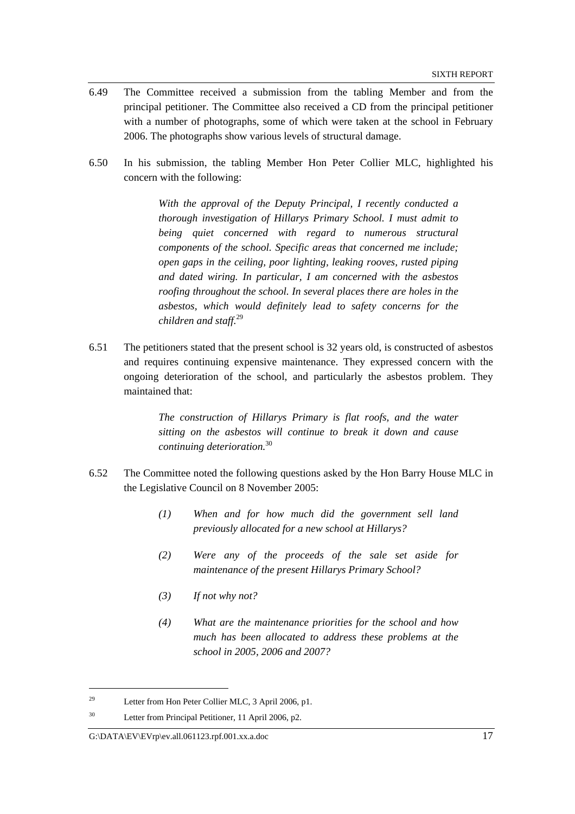- 6.49 The Committee received a submission from the tabling Member and from the principal petitioner. The Committee also received a CD from the principal petitioner with a number of photographs, some of which were taken at the school in February 2006. The photographs show various levels of structural damage.
- 6.50 In his submission, the tabling Member Hon Peter Collier MLC, highlighted his concern with the following:

*With the approval of the Deputy Principal, I recently conducted a thorough investigation of Hillarys Primary School. I must admit to being quiet concerned with regard to numerous structural components of the school. Specific areas that concerned me include; open gaps in the ceiling, poor lighting, leaking rooves, rusted piping and dated wiring. In particular, I am concerned with the asbestos roofing throughout the school. In several places there are holes in the asbestos, which would definitely lead to safety concerns for the children and staff.*<sup>29</sup>

6.51 The petitioners stated that the present school is 32 years old, is constructed of asbestos and requires continuing expensive maintenance. They expressed concern with the ongoing deterioration of the school, and particularly the asbestos problem. They maintained that:

> *The construction of Hillarys Primary is flat roofs, and the water sitting on the asbestos will continue to break it down and cause continuing deterioration.*<sup>30</sup>

- 6.52 The Committee noted the following questions asked by the Hon Barry House MLC in the Legislative Council on 8 November 2005:
	- *(1) When and for how much did the government sell land previously allocated for a new school at Hillarys?*
	- *(2) Were any of the proceeds of the sale set aside for maintenance of the present Hillarys Primary School?*
	- *(3) If not why not?*
	- *(4) What are the maintenance priorities for the school and how much has been allocated to address these problems at the school in 2005, 2006 and 2007?*

<sup>29</sup> Letter from Hon Peter Collier MLC, 3 April 2006, p1.

<sup>30</sup> Letter from Principal Petitioner, 11 April 2006, p2.

 $G:\Delta EV\to V\to V\to V\to V\to 0$  and  $\sim 17$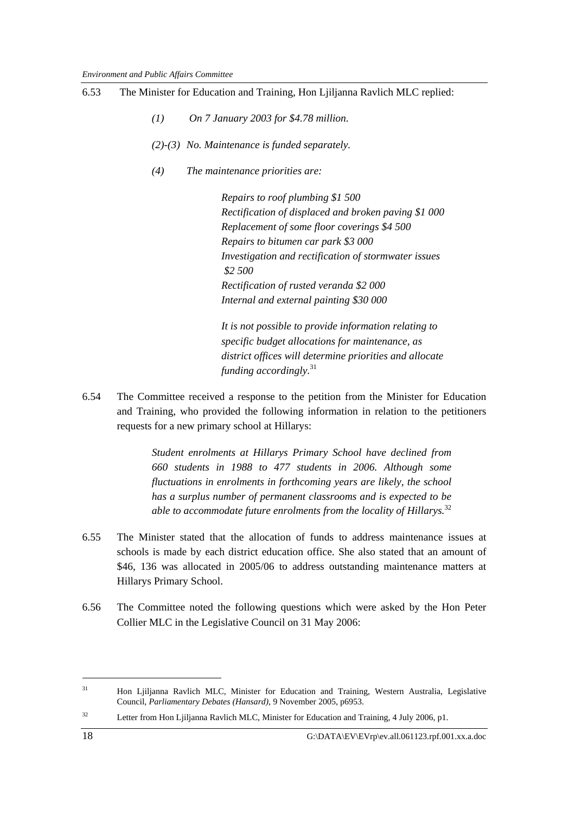- 6.53 The Minister for Education and Training, Hon Ljiljanna Ravlich MLC replied:
	- *(1) On 7 January 2003 for \$4.78 million.*
	- *(2)-(3) No. Maintenance is funded separately.*
	- *(4) The maintenance priorities are:*

 *Repairs to roof plumbing \$1 500 Rectification of displaced and broken paving \$1 000 Replacement of some floor coverings \$4 500 Repairs to bitumen car park \$3 000 Investigation and rectification of stormwater issues \$2 500 Rectification of rusted veranda \$2 000 Internal and external painting \$30 000* 

 *It is not possible to provide information relating to specific budget allocations for maintenance, as district offices will determine priorities and allocate funding accordingly.*<sup>31</sup>

6.54 The Committee received a response to the petition from the Minister for Education and Training, who provided the following information in relation to the petitioners requests for a new primary school at Hillarys:

> *Student enrolments at Hillarys Primary School have declined from 660 students in 1988 to 477 students in 2006. Although some fluctuations in enrolments in forthcoming years are likely, the school has a surplus number of permanent classrooms and is expected to be*  able to accommodate future enrolments from the locality of Hillarys.<sup>32</sup>

- 6.55 The Minister stated that the allocation of funds to address maintenance issues at schools is made by each district education office. She also stated that an amount of \$46, 136 was allocated in 2005/06 to address outstanding maintenance matters at Hillarys Primary School.
- 6.56 The Committee noted the following questions which were asked by the Hon Peter Collier MLC in the Legislative Council on 31 May 2006:

<sup>&</sup>lt;sup>31</sup> Hon Ljiljanna Ravlich MLC, Minister for Education and Training, Western Australia, Legislative Council, *Parliamentary Debates (Hansard),* 9 November 2005, p6953.

<sup>&</sup>lt;sup>32</sup> Letter from Hon Ljiljanna Ravlich MLC, Minister for Education and Training, 4 July 2006, p1.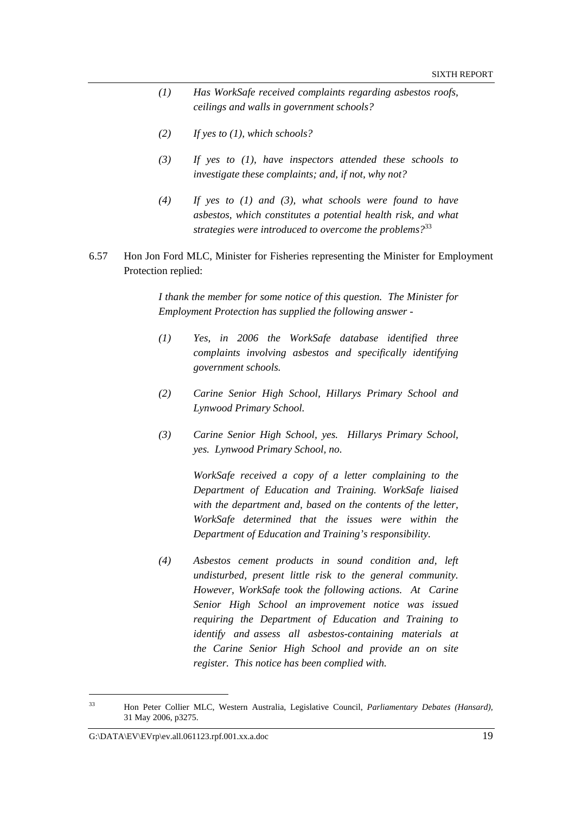- *(1) Has WorkSafe received complaints regarding asbestos roofs, ceilings and walls in government schools?*
- *(2) If yes to (1), which schools?*
- *(3) If yes to (1), have inspectors attended these schools to investigate these complaints; and, if not, why not?*
- *(4) If yes to (1) and (3), what schools were found to have asbestos, which constitutes a potential health risk, and what strategies were introduced to overcome the problems?*<sup>33</sup>
- 6.57 Hon Jon Ford MLC, Minister for Fisheries representing the Minister for Employment Protection replied:

*I thank the member for some notice of this question. The Minister for Employment Protection has supplied the following answer -* 

- *(1) Yes, in 2006 the WorkSafe database identified three complaints involving asbestos and specifically identifying government schools.*
- *(2) Carine Senior High School, Hillarys Primary School and Lynwood Primary School.*
- *(3) Carine Senior High School, yes. Hillarys Primary School, yes. Lynwood Primary School, no.*

 *WorkSafe received a copy of a letter complaining to the Department of Education and Training. WorkSafe liaised with the department and, based on the contents of the letter, WorkSafe determined that the issues were within the Department of Education and Training's responsibility.* 

*(4) Asbestos cement products in sound condition and, left undisturbed, present little risk to the general community. However, WorkSafe took the following actions. At Carine Senior High School an improvement notice was issued requiring the Department of Education and Training to identify and assess all asbestos-containing materials at the Carine Senior High School and provide an on site register. This notice has been complied with.* 

<sup>33</sup> Hon Peter Collier MLC, Western Australia, Legislative Council, *Parliamentary Debates (Hansard),*  31 May 2006, p3275.

G: $\Delta$ EV\EVrp\ev.all.061123.rpf.001.xx.a.doc 19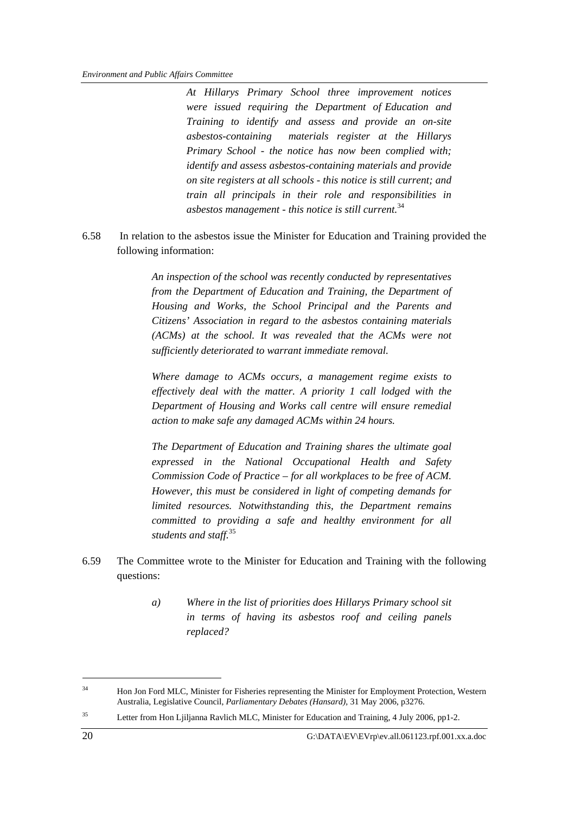*At Hillarys Primary School three improvement notices were issued requiring the Department of Education and Training to identify and assess and provide an on-site asbestos-containing materials register at the Hillarys Primary School - the notice has now been complied with; identify and assess asbestos-containing materials and provide on site registers at all schools - this notice is still current; and train all principals in their role and responsibilities in asbestos management - this notice is still current.* 34 

6.58 In relation to the asbestos issue the Minister for Education and Training provided the following information:

> *An inspection of the school was recently conducted by representatives from the Department of Education and Training, the Department of Housing and Works, the School Principal and the Parents and Citizens' Association in regard to the asbestos containing materials (ACMs) at the school. It was revealed that the ACMs were not sufficiently deteriorated to warrant immediate removal.*

> *Where damage to ACMs occurs, a management regime exists to effectively deal with the matter. A priority 1 call lodged with the Department of Housing and Works call centre will ensure remedial action to make safe any damaged ACMs within 24 hours.*

> *The Department of Education and Training shares the ultimate goal expressed in the National Occupational Health and Safety Commission Code of Practice – for all workplaces to be free of ACM. However, this must be considered in light of competing demands for limited resources. Notwithstanding this, the Department remains committed to providing a safe and healthy environment for all students and staff.*<sup>35</sup>

- 6.59 The Committee wrote to the Minister for Education and Training with the following questions:
	- *a) Where in the list of priorities does Hillarys Primary school sit in terms of having its asbestos roof and ceiling panels replaced?*

<sup>35</sup> Letter from Hon Ljiljanna Ravlich MLC, Minister for Education and Training, 4 July 2006, pp1-2.

<sup>&</sup>lt;sup>34</sup> Hon Jon Ford MLC, Minister for Fisheries representing the Minister for Employment Protection, Western Australia, Legislative Council, *Parliamentary Debates (Hansard),* 31 May 2006, p3276.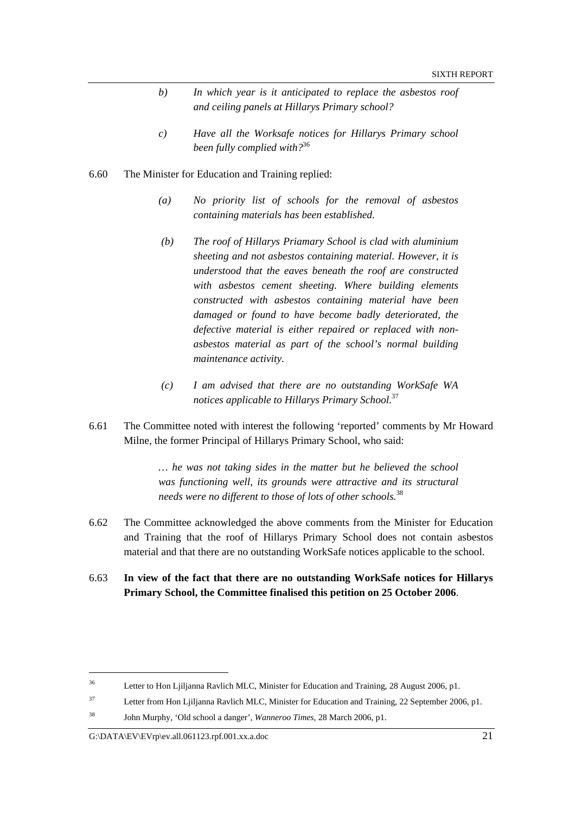- *b) In which year is it anticipated to replace the asbestos roof and ceiling panels at Hillarys Primary school?*
- *c) Have all the Worksafe notices for Hillarys Primary school been fully complied with?*<sup>36</sup>
- 6.60 The Minister for Education and Training replied:
	- *(a) No priority list of schools for the removal of asbestos containing materials has been established.*
	- *(b) The roof of Hillarys Priamary School is clad with aluminium sheeting and not asbestos containing material. However, it is understood that the eaves beneath the roof are constructed with asbestos cement sheeting. Where building elements constructed with asbestos containing material have been damaged or found to have become badly deteriorated, the defective material is either repaired or replaced with non asbestos material as part of the school's normal building maintenance activity.*
	- *(c) I am advised that there are no outstanding WorkSafe WA notices applicable to Hillarys Primary School.*<sup>37</sup>
- 6.61 The Committee noted with interest the following 'reported' comments by Mr Howard Milne, the former Principal of Hillarys Primary School, who said:

*… he was not taking sides in the matter but he believed the school was functioning well, its grounds were attractive and its structural needs were no different to those of lots of other schools.*<sup>38</sup>

- 6.62 The Committee acknowledged the above comments from the Minister for Education and Training that the roof of Hillarys Primary School does not contain asbestos material and that there are no outstanding WorkSafe notices applicable to the school.
- 6.63 **In view of the fact that there are no outstanding WorkSafe notices for Hillarys Primary School, the Committee finalised this petition on 25 October 2006**.

<sup>&</sup>lt;sup>36</sup> Letter to Hon Ljiljanna Ravlich MLC, Minister for Education and Training, 28 August 2006, p1.

<sup>&</sup>lt;sup>37</sup> Letter from Hon Ljiljanna Ravlich MLC, Minister for Education and Training, 22 September 2006, p1.

<sup>38</sup> John Murphy, 'Old school a danger', *Wanneroo Times*, 28 March 2006, p1.

G:\DATA\EV\EVrp\ev.all.061123.rpf.001.xx.a.doc 21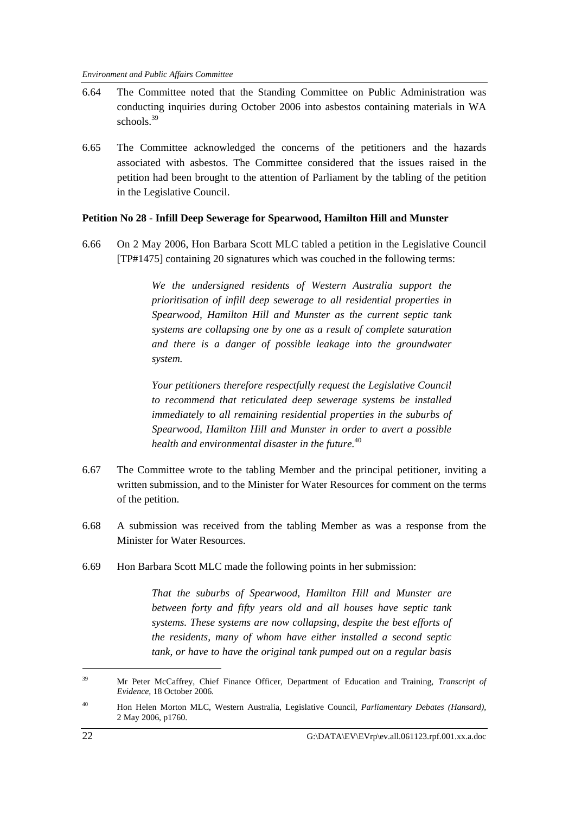- 6.64 The Committee noted that the Standing Committee on Public Administration was conducting inquiries during October 2006 into asbestos containing materials in WA schools.<sup>39</sup>
- 6.65 The Committee acknowledged the concerns of the petitioners and the hazards associated with asbestos. The Committee considered that the issues raised in the petition had been brought to the attention of Parliament by the tabling of the petition in the Legislative Council.

#### **Petition No 28 - Infill Deep Sewerage for Spearwood, Hamilton Hill and Munster**

6.66 On 2 May 2006, Hon Barbara Scott MLC tabled a petition in the Legislative Council [TP#1475] containing 20 signatures which was couched in the following terms:

> *We the undersigned residents of Western Australia support the prioritisation of infill deep sewerage to all residential properties in Spearwood, Hamilton Hill and Munster as the current septic tank systems are collapsing one by one as a result of complete saturation and there is a danger of possible leakage into the groundwater system.*

> *Your petitioners therefore respectfully request the Legislative Council to recommend that reticulated deep sewerage systems be installed immediately to all remaining residential properties in the suburbs of Spearwood, Hamilton Hill and Munster in order to avert a possible health and environmental disaster in the future.*<sup>40</sup>

- 6.67 The Committee wrote to the tabling Member and the principal petitioner, inviting a written submission, and to the Minister for Water Resources for comment on the terms of the petition.
- 6.68 A submission was received from the tabling Member as was a response from the Minister for Water Resources.
- 6.69 Hon Barbara Scott MLC made the following points in her submission:

*That the suburbs of Spearwood, Hamilton Hill and Munster are between forty and fifty years old and all houses have septic tank systems. These systems are now collapsing, despite the best efforts of the residents, many of whom have either installed a second septic tank, or have to have the original tank pumped out on a regular basis* 

<sup>39</sup> Mr Peter McCaffrey, Chief Finance Officer*,* Department of Education and Training, *Transcript of Evidence,* 18 October 2006.

<sup>40</sup> Hon Helen Morton MLC, Western Australia, Legislative Council, *Parliamentary Debates (Hansard),*  2 May 2006, p1760.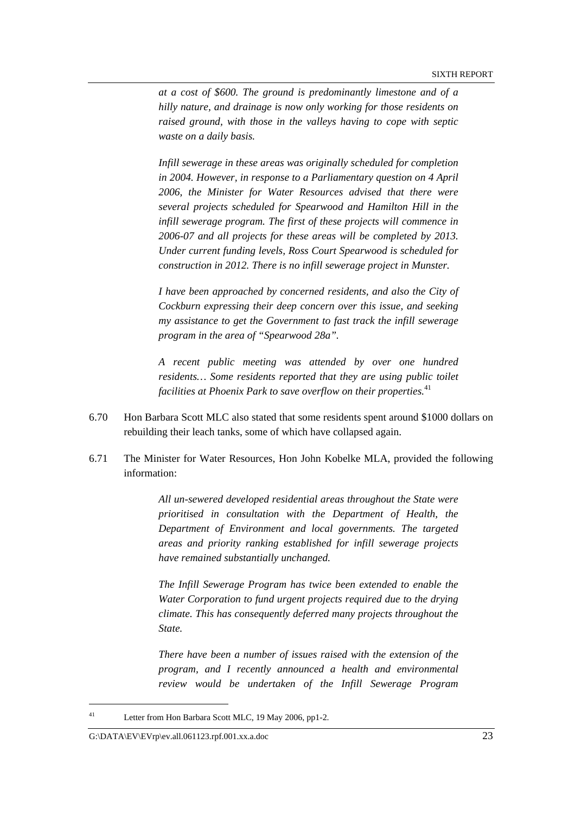*at a cost of \$600. The ground is predominantly limestone and of a hilly nature, and drainage is now only working for those residents on raised ground, with those in the valleys having to cope with septic waste on a daily basis.* 

*Infill sewerage in these areas was originally scheduled for completion in 2004. However, in response to a Parliamentary question on 4 April 2006, the Minister for Water Resources advised that there were several projects scheduled for Spearwood and Hamilton Hill in the infill sewerage program. The first of these projects will commence in 2006-07 and all projects for these areas will be completed by 2013. Under current funding levels, Ross Court Spearwood is scheduled for construction in 2012. There is no infill sewerage project in Munster.* 

*I have been approached by concerned residents, and also the City of Cockburn expressing their deep concern over this issue, and seeking my assistance to get the Government to fast track the infill sewerage program in the area of "Spearwood 28a".* 

*A recent public meeting was attended by over one hundred residents… Some residents reported that they are using public toilet*  facilities at Phoenix Park to save overflow on their properties.<sup>41</sup>

- 6.70 Hon Barbara Scott MLC also stated that some residents spent around \$1000 dollars on rebuilding their leach tanks, some of which have collapsed again.
- 6.71 The Minister for Water Resources, Hon John Kobelke MLA, provided the following information:

*All un-sewered developed residential areas throughout the State were prioritised in consultation with the Department of Health, the Department of Environment and local governments. The targeted areas and priority ranking established for infill sewerage projects have remained substantially unchanged.* 

*The Infill Sewerage Program has twice been extended to enable the Water Corporation to fund urgent projects required due to the drying climate. This has consequently deferred many projects throughout the State.* 

*There have been a number of issues raised with the extension of the program, and I recently announced a health and environmental review would be undertaken of the Infill Sewerage Program* 

<sup>41</sup> Letter from Hon Barbara Scott MLC, 19 May 2006, pp1-2.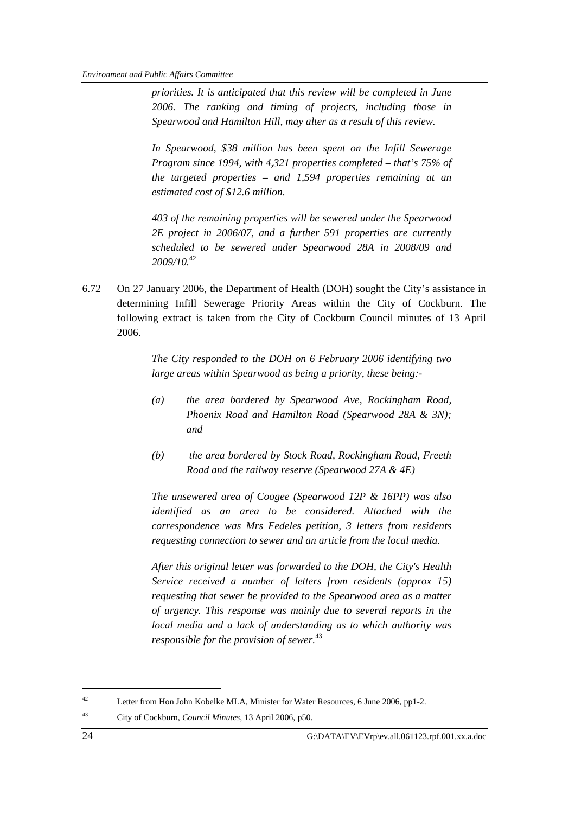*priorities. It is anticipated that this review will be completed in June 2006. The ranking and timing of projects, including those in Spearwood and Hamilton Hill, may alter as a result of this review.* 

*In Spearwood, \$38 million has been spent on the Infill Sewerage Program since 1994, with 4,321 properties completed – that's 75% of the targeted properties – and 1,594 properties remaining at an estimated cost of \$12.6 million.* 

*403 of the remaining properties will be sewered under the Spearwood 2E project in 2006/07, and a further 591 properties are currently scheduled to be sewered under Spearwood 28A in 2008/09 and 2009/10.*<sup>42</sup> 

6.72 On 27 January 2006, the Department of Health (DOH) sought the City's assistance in determining Infill Sewerage Priority Areas within the City of Cockburn. The following extract is taken from the City of Cockburn Council minutes of 13 April 2006.

> *The City responded to the DOH on 6 February 2006 identifying two large areas within Spearwood as being a priority, these being:-*

- *(a) the area bordered by Spearwood Ave, Rockingham Road, Phoenix Road and Hamilton Road (Spearwood 28A & 3N); and*
- *(b) the area bordered by Stock Road, Rockingham Road, Freeth Road and the railway reserve (Spearwood 27A & 4E)*

*The unsewered area of Coogee (Spearwood 12P & 16PP) was also identified as an area to be considered. Attached with the correspondence was Mrs Fedeles petition, 3 letters from residents requesting connection to sewer and an article from the local media.* 

*After this original letter was forwarded to the DOH, the City's Health Service received a number of letters from residents (approx 15) requesting that sewer be provided to the Spearwood area as a matter of urgency. This response was mainly due to several reports in the local media and a lack of understanding as to which authority was responsible for the provision of sewer.*<sup>43</sup> 

<sup>&</sup>lt;sup>42</sup> Letter from Hon John Kobelke MLA, Minister for Water Resources, 6 June 2006, pp1-2.

<sup>43</sup> City of Cockburn, *Council Minutes*, 13 April 2006, p50.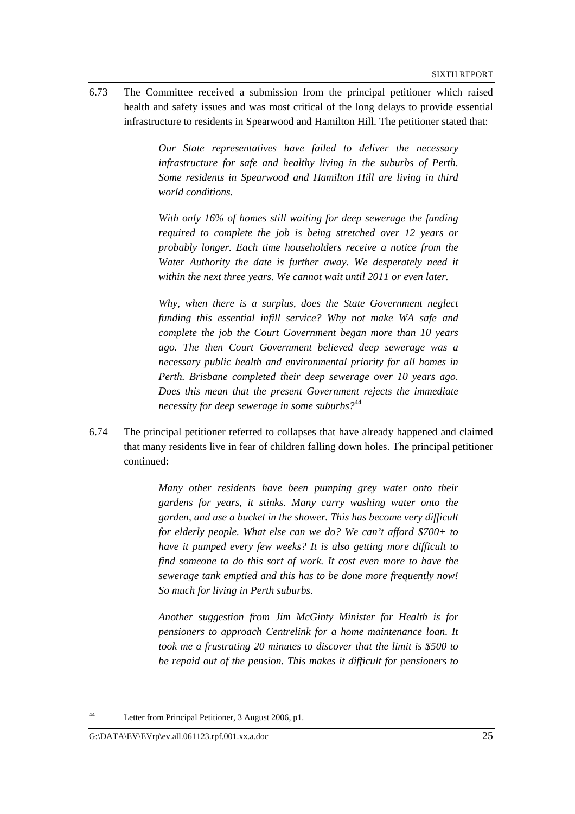6.73 The Committee received a submission from the principal petitioner which raised health and safety issues and was most critical of the long delays to provide essential infrastructure to residents in Spearwood and Hamilton Hill. The petitioner stated that:

> *Our State representatives have failed to deliver the necessary infrastructure for safe and healthy living in the suburbs of Perth. Some residents in Spearwood and Hamilton Hill are living in third world conditions.*

> *With only 16% of homes still waiting for deep sewerage the funding required to complete the job is being stretched over 12 years or probably longer. Each time householders receive a notice from the*  Water Authority the date is further away. We desperately need it *within the next three years. We cannot wait until 2011 or even later.*

> *Why, when there is a surplus, does the State Government neglect funding this essential infill service? Why not make WA safe and complete the job the Court Government began more than 10 years ago. The then Court Government believed deep sewerage was a necessary public health and environmental priority for all homes in Perth. Brisbane completed their deep sewerage over 10 years ago. Does this mean that the present Government rejects the immediate necessity for deep sewerage in some suburbs?*<sup>44</sup>

6.74 The principal petitioner referred to collapses that have already happened and claimed that many residents live in fear of children falling down holes. The principal petitioner continued:

> *Many other residents have been pumping grey water onto their gardens for years, it stinks. Many carry washing water onto the garden, and use a bucket in the shower. This has become very difficult for elderly people. What else can we do? We can't afford \$700+ to have it pumped every few weeks? It is also getting more difficult to find someone to do this sort of work. It cost even more to have the sewerage tank emptied and this has to be done more frequently now! So much for living in Perth suburbs.*

> *Another suggestion from Jim McGinty Minister for Health is for pensioners to approach Centrelink for a home maintenance loan. It took me a frustrating 20 minutes to discover that the limit is \$500 to be repaid out of the pension. This makes it difficult for pensioners to*

<sup>44</sup> Letter from Principal Petitioner, 3 August 2006, p1.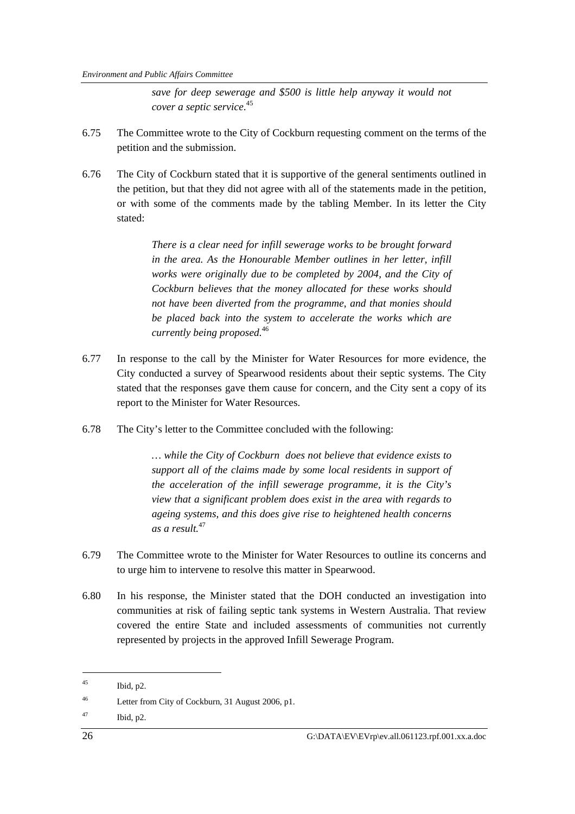*save for deep sewerage and \$500 is little help anyway it would not cover a septic service*. 45

- 6.75 The Committee wrote to the City of Cockburn requesting comment on the terms of the petition and the submission.
- 6.76 The City of Cockburn stated that it is supportive of the general sentiments outlined in the petition, but that they did not agree with all of the statements made in the petition, or with some of the comments made by the tabling Member. In its letter the City stated:

*There is a clear need for infill sewerage works to be brought forward in the area. As the Honourable Member outlines in her letter, infill works were originally due to be completed by 2004, and the City of Cockburn believes that the money allocated for these works should not have been diverted from the programme, and that monies should be placed back into the system to accelerate the works which are currently being proposed.*<sup>46</sup> 

- 6.77 In response to the call by the Minister for Water Resources for more evidence, the City conducted a survey of Spearwood residents about their septic systems. The City stated that the responses gave them cause for concern, and the City sent a copy of its report to the Minister for Water Resources.
- 6.78 The City's letter to the Committee concluded with the following:

*… while the City of Cockburn does not believe that evidence exists to support all of the claims made by some local residents in support of the acceleration of the infill sewerage programme, it is the City's view that a significant problem does exist in the area with regards to ageing systems, and this does give rise to heightened health concerns as a result.*<sup>47</sup>

- 6.79 The Committee wrote to the Minister for Water Resources to outline its concerns and to urge him to intervene to resolve this matter in Spearwood.
- 6.80 In his response, the Minister stated that the DOH conducted an investigation into communities at risk of failing septic tank systems in Western Australia. That review covered the entire State and included assessments of communities not currently represented by projects in the approved Infill Sewerage Program.

 $^{45}$  Ibid, p2.

<sup>46</sup> Letter from City of Cockburn, 31 August 2006, p1.

 $^{47}$  Ibid, p2.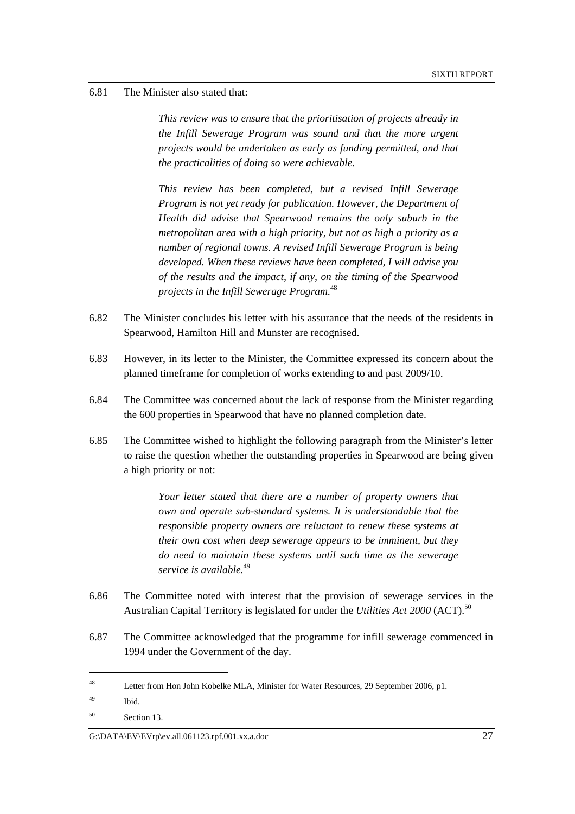#### 6.81 The Minister also stated that:

*This review was to ensure that the prioritisation of projects already in the Infill Sewerage Program was sound and that the more urgent projects would be undertaken as early as funding permitted, and that the practicalities of doing so were achievable.* 

*This review has been completed, but a revised Infill Sewerage Program is not yet ready for publication. However, the Department of Health did advise that Spearwood remains the only suburb in the metropolitan area with a high priority, but not as high a priority as a number of regional towns. A revised Infill Sewerage Program is being developed. When these reviews have been completed, I will advise you of the results and the impact, if any, on the timing of the Spearwood projects in the Infill Sewerage Program.*<sup>48</sup>

- 6.82 The Minister concludes his letter with his assurance that the needs of the residents in Spearwood, Hamilton Hill and Munster are recognised.
- 6.83 However, in its letter to the Minister, the Committee expressed its concern about the planned timeframe for completion of works extending to and past 2009/10.
- 6.84 The Committee was concerned about the lack of response from the Minister regarding the 600 properties in Spearwood that have no planned completion date.
- 6.85 The Committee wished to highlight the following paragraph from the Minister's letter to raise the question whether the outstanding properties in Spearwood are being given a high priority or not:

*Your letter stated that there are a number of property owners that own and operate sub-standard systems. It is understandable that the responsible property owners are reluctant to renew these systems at their own cost when deep sewerage appears to be imminent, but they do need to maintain these systems until such time as the sewerage service is available.*<sup>49</sup> 

- 6.86 The Committee noted with interest that the provision of sewerage services in the Australian Capital Territory is legislated for under the *Utilities Act 2000* (ACT).<sup>50</sup>
- 6.87 The Committee acknowledged that the programme for infill sewerage commenced in 1994 under the Government of the day.

<sup>48</sup> Letter from Hon John Kobelke MLA, Minister for Water Resources, 29 September 2006, p1.

 $^{49}$  Ibid.

<sup>50</sup> Section 13.

 $G:\Delta EV\to V\to V\to V\to V\to V\to 0$  and  $\sim 27$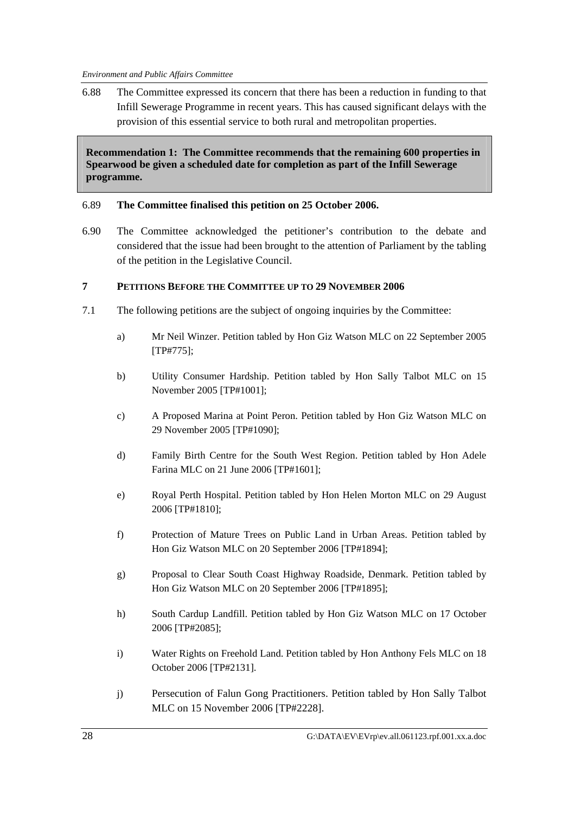6.88 The Committee expressed its concern that there has been a reduction in funding to that Infill Sewerage Programme in recent years. This has caused significant delays with the provision of this essential service to both rural and metropolitan properties.

**Recommendation 1: The Committee recommends that the remaining 600 properties in Spearwood be given a scheduled date for completion as part of the Infill Sewerage programme.** 

### 6.89 **The Committee finalised this petition on 25 October 2006.**

6.90 The Committee acknowledged the petitioner's contribution to the debate and considered that the issue had been brought to the attention of Parliament by the tabling of the petition in the Legislative Council.

### **7 PETITIONS BEFORE THE COMMITTEE UP TO 29 NOVEMBER 2006**

- 7.1 The following petitions are the subject of ongoing inquiries by the Committee:
	- a) Mr Neil Winzer. Petition tabled by Hon Giz Watson MLC on 22 September 2005 [TP#775];
	- b) Utility Consumer Hardship. Petition tabled by Hon Sally Talbot MLC on 15 November 2005 [TP#1001];
	- c) A Proposed Marina at Point Peron. Petition tabled by Hon Giz Watson MLC on 29 November 2005 [TP#1090];
	- d) Family Birth Centre for the South West Region. Petition tabled by Hon Adele Farina MLC on 21 June 2006 [TP#1601];
	- e) Royal Perth Hospital. Petition tabled by Hon Helen Morton MLC on 29 August 2006 [TP#1810];
	- f) Protection of Mature Trees on Public Land in Urban Areas. Petition tabled by Hon Giz Watson MLC on 20 September 2006 [TP#1894];
	- g) Proposal to Clear South Coast Highway Roadside, Denmark. Petition tabled by Hon Giz Watson MLC on 20 September 2006 [TP#1895];
	- h) South Cardup Landfill. Petition tabled by Hon Giz Watson MLC on 17 October 2006 [TP#2085];
	- i) Water Rights on Freehold Land. Petition tabled by Hon Anthony Fels MLC on 18 October 2006 [TP#2131].
	- j) Persecution of Falun Gong Practitioners. Petition tabled by Hon Sally Talbot MLC on 15 November 2006 [TP#2228].